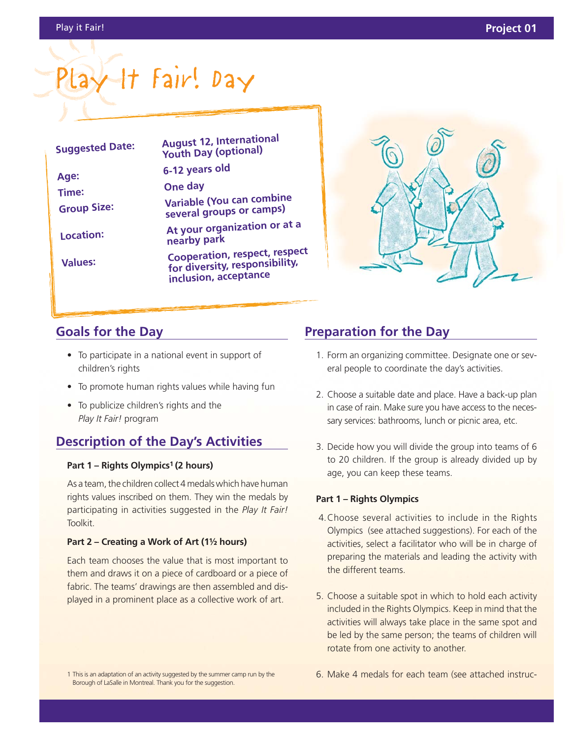# $ay$  It Fair! Day

| <b>Suggested Date:</b>      | <b>August 12, International</b><br><b>Youth Day (optional)</b>                                  |
|-----------------------------|-------------------------------------------------------------------------------------------------|
| Age:                        | 6-12 years old                                                                                  |
| Time:<br><b>Group Size:</b> | One day                                                                                         |
|                             | Variable (You can combine<br>several groups or camps)                                           |
| Location:                   | At your organization or at a<br>nearby park                                                     |
| <b>Values:</b>              | <b>Cooperation, respect, respect</b><br>for diversity, responsibility,<br>inclusion, acceptance |
|                             |                                                                                                 |



## **Goals for the Day**

- To participate in a national event in support of children's rights
- To promote human rights values while having fun
- To publicize children's rights and the *Play It Fair!* program

# **Description of the Day's Activities**

#### **Part 1 – Rights Olympics1 (2 hours)**

As a team, the children collect 4 medals which have human rights values inscribed on them. They win the medals by participating in activities suggested in the *Play It Fair!* Toolkit.

#### **Part 2 – Creating a Work of Art (1½ hours)**

Each team chooses the value that is most important to them and draws it on a piece of cardboard or a piece of fabric. The teams' drawings are then assembled and displayed in a prominent place as a collective work of art.

# **Preparation for the Day**

- 1. Form an organizing committee. Designate one or several people to coordinate the day's activities.
- 2. Choose a suitable date and place. Have a back-up plan in case of rain. Make sure you have access to the necessary services: bathrooms, lunch or picnic area, etc.
- 3. Decide how you will divide the group into teams of 6 to 20 children. If the group is already divided up by age, you can keep these teams.

#### **Part 1 – Rights Olympics**

- 4.Choose several activities to include in the Rights Olympics (see attached suggestions). For each of the activities, select a facilitator who will be in charge of preparing the materials and leading the activity with the different teams.
- 5. Choose a suitable spot in which to hold each activity included in the Rights Olympics. Keep in mind that the activities will always take place in the same spot and be led by the same person; the teams of children will rotate from one activity to another.

1 This is an adaptation of an activity suggested by the summer camp run by the Borough of LaSalle in Montreal. Thank you for the suggestion.

6. Make 4 medals for each team (see attached instruc-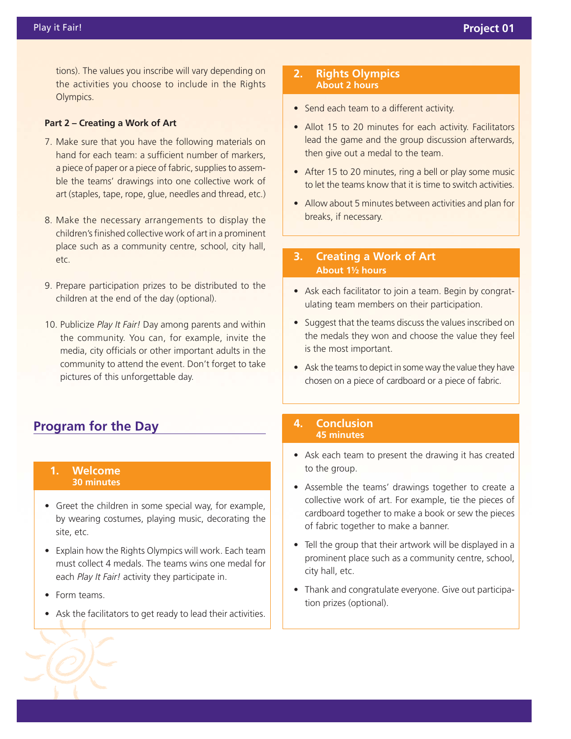tions). The values you inscribe will vary depending on the activities you choose to include in the Rights Olympics.

#### **Part 2 – Creating a Work of Art**

- 7. Make sure that you have the following materials on hand for each team: a sufficient number of markers, a piece of paper or a piece of fabric, supplies to assemble the teams' drawings into one collective work of art (staples, tape, rope, glue, needles and thread, etc.)
- 8. Make the necessary arrangements to display the children's finished collective work of art in a prominent place such as a community centre, school, city hall, etc.
- 9. Prepare participation prizes to be distributed to the children at the end of the day (optional).
- 10. Publicize *Play It Fair!* Day among parents and within the community. You can, for example, invite the media, city officials or other important adults in the community to attend the event. Don't forget to take pictures of this unforgettable day.

## **Program for the Day**

#### **1. Welcome 30 minutes**

- Greet the children in some special way, for example, by wearing costumes, playing music, decorating the site, etc.
- Explain how the Rights Olympics will work. Each team must collect 4 medals. The teams wins one medal for each *Play It Fair!* activity they participate in.
- Form teams.
- Ask the facilitators to get ready to lead their activities.

#### **2. Rights Olympics About 2 hours**

- Send each team to a different activity.
- Allot 15 to 20 minutes for each activity. Facilitators lead the game and the group discussion afterwards, then give out a medal to the team.
- After 15 to 20 minutes, ring a bell or play some music to let the teams know that it is time to switch activities.
- Allow about 5 minutes between activities and plan for breaks, if necessary.

#### **3. Creating a Work of Art About 1½ hours**

- Ask each facilitator to join a team. Begin by congratulating team members on their participation.
- Suggest that the teams discuss the values inscribed on the medals they won and choose the value they feel is the most important.
- Ask the teams to depict in some way the value they have chosen on a piece of cardboard or a piece of fabric.

#### **4. Conclusion 45 minutes**

- Ask each team to present the drawing it has created to the group.
- Assemble the teams' drawings together to create a collective work of art. For example, tie the pieces of cardboard together to make a book or sew the pieces of fabric together to make a banner.
- Tell the group that their artwork will be displayed in a prominent place such as a community centre, school, city hall, etc.
- Thank and congratulate everyone. Give out participation prizes (optional).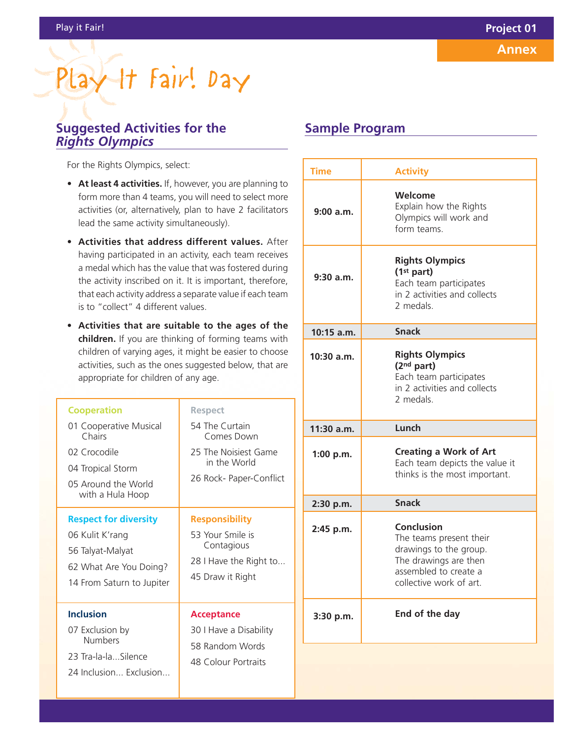# Play It Fair! Day

## **Suggested Activities for the** *Rights Olympics*

For the Rights Olympics, select:

- **At least 4 activities.** If, however, you are planning to form more than 4 teams, you will need to select more activities (or, alternatively, plan to have 2 facilitators lead the same activity simultaneously).
- **Activities that address different values.** After having participated in an activity, each team receives a medal which has the value that was fostered during the activity inscribed on it. It is important, therefore, that each activity address a separate value if each team is to "collect" 4 different values.
- **Activities that are suitable to the ages of the children.** If you are thinking of forming teams with children of varying ages, it might be easier to choose activities, such as the ones suggested below, that are appropriate for children of any age.

| <b>Cooperation</b><br>01 Cooperative Musical<br>Chairs<br>02 Crocodile<br>04 Tropical Storm<br>05 Around the World<br>with a Hula Hoop | <b>Respect</b><br>54 The Curtain<br>Comes Down<br>25 The Noisiest Game<br>in the World<br>26 Rock- Paper-Conflict |
|----------------------------------------------------------------------------------------------------------------------------------------|-------------------------------------------------------------------------------------------------------------------|
| <b>Respect for diversity</b><br>06 Kulit K'rang<br>56 Talyat-Malyat<br>62 What Are You Doing?<br>14 From Saturn to Jupiter             | <b>Responsibility</b><br>53 Your Smile is<br>Contagious<br>28 I Have the Right to<br>45 Draw it Right             |
| <b>Inclusion</b><br>07 Exclusion by<br><b>Numbers</b><br>23 Tra-la-la Silence<br>24 Inclusion Fxclusion                                | <b>Acceptance</b><br>30 I Have a Disability<br>58 Random Words<br><b>48 Colour Portraits</b>                      |

## **Sample Program**

| <b>Time</b>  | <b>Activity</b>                                                                                                                                     |
|--------------|-----------------------------------------------------------------------------------------------------------------------------------------------------|
| 9:00 a.m.    | Welcome<br>Explain how the Rights<br>Olympics will work and<br>form teams.                                                                          |
| $9:30$ a.m.  | <b>Rights Olympics</b><br>(1 <sup>st</sup> part)<br>Each team participates<br>in 2 activities and collects<br>2 medals.                             |
| 10:15 a.m.   | <b>Snack</b>                                                                                                                                        |
| $10:30$ a.m. | <b>Rights Olympics</b><br>(2 <sup>nd</sup> part)<br>Each team participates<br>in 2 activities and collects<br>2 medals.                             |
| 11:30 a.m.   | Lunch                                                                                                                                               |
| 1:00 $p.m.$  | <b>Creating a Work of Art</b><br>Each team depicts the value it<br>thinks is the most important.                                                    |
| 2:30 p.m.    | <b>Snack</b>                                                                                                                                        |
| 2:45 p.m.    | <b>Conclusion</b><br>The teams present their<br>drawings to the group.<br>The drawings are then<br>assembled to create a<br>collective work of art. |
| 3:30 p.m.    | End of the day                                                                                                                                      |